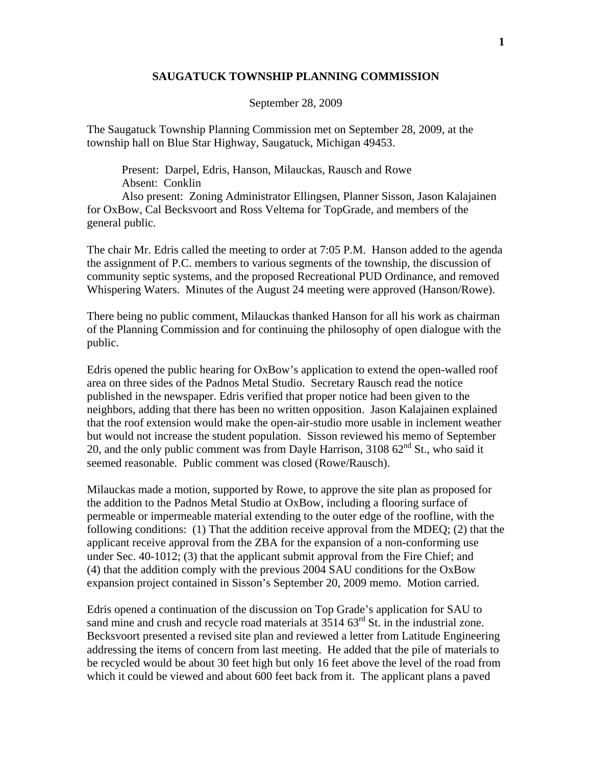## **SAUGATUCK TOWNSHIP PLANNING COMMISSION**

## September 28, 2009

The Saugatuck Township Planning Commission met on September 28, 2009, at the township hall on Blue Star Highway, Saugatuck, Michigan 49453.

 Present: Darpel, Edris, Hanson, Milauckas, Rausch and Rowe Absent: Conklin

 Also present: Zoning Administrator Ellingsen, Planner Sisson, Jason Kalajainen for OxBow, Cal Becksvoort and Ross Veltema for TopGrade, and members of the general public.

The chair Mr. Edris called the meeting to order at 7:05 P.M. Hanson added to the agenda the assignment of P.C. members to various segments of the township, the discussion of community septic systems, and the proposed Recreational PUD Ordinance, and removed Whispering Waters. Minutes of the August 24 meeting were approved (Hanson/Rowe).

There being no public comment, Milauckas thanked Hanson for all his work as chairman of the Planning Commission and for continuing the philosophy of open dialogue with the public.

Edris opened the public hearing for OxBow's application to extend the open-walled roof area on three sides of the Padnos Metal Studio. Secretary Rausch read the notice published in the newspaper. Edris verified that proper notice had been given to the neighbors, adding that there has been no written opposition. Jason Kalajainen explained that the roof extension would make the open-air-studio more usable in inclement weather but would not increase the student population. Sisson reviewed his memo of September 20, and the only public comment was from Dayle Harrison, 3108  $62<sup>nd</sup>$  St., who said it seemed reasonable. Public comment was closed (Rowe/Rausch).

Milauckas made a motion, supported by Rowe, to approve the site plan as proposed for the addition to the Padnos Metal Studio at OxBow, including a flooring surface of permeable or impermeable material extending to the outer edge of the roofline, with the following conditions: (1) That the addition receive approval from the MDEQ; (2) that the applicant receive approval from the ZBA for the expansion of a non-conforming use under Sec. 40-1012; (3) that the applicant submit approval from the Fire Chief; and (4) that the addition comply with the previous 2004 SAU conditions for the OxBow expansion project contained in Sisson's September 20, 2009 memo. Motion carried.

Edris opened a continuation of the discussion on Top Grade's application for SAU to sand mine and crush and recycle road materials at  $3514~63<sup>rd</sup>$  St. in the industrial zone. Becksvoort presented a revised site plan and reviewed a letter from Latitude Engineering addressing the items of concern from last meeting. He added that the pile of materials to be recycled would be about 30 feet high but only 16 feet above the level of the road from which it could be viewed and about 600 feet back from it. The applicant plans a paved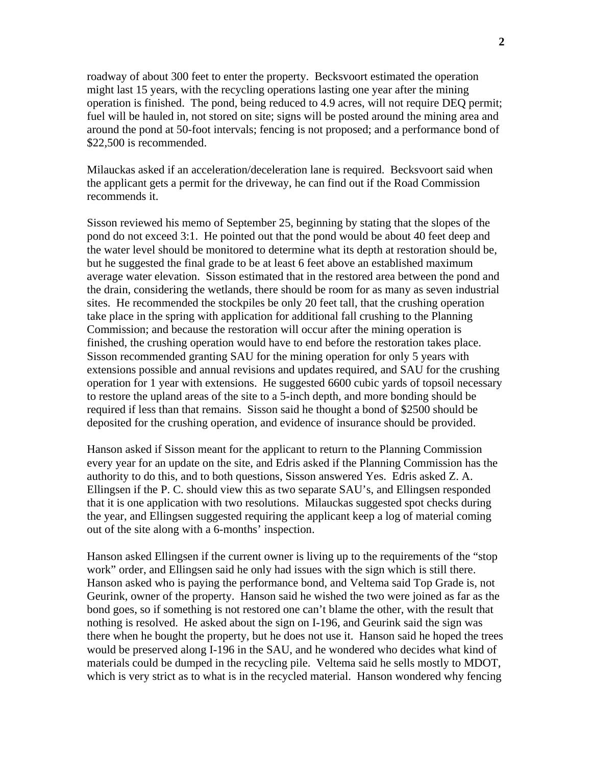roadway of about 300 feet to enter the property. Becksvoort estimated the operation might last 15 years, with the recycling operations lasting one year after the mining operation is finished. The pond, being reduced to 4.9 acres, will not require DEQ permit; fuel will be hauled in, not stored on site; signs will be posted around the mining area and around the pond at 50-foot intervals; fencing is not proposed; and a performance bond of \$22,500 is recommended.

Milauckas asked if an acceleration/deceleration lane is required. Becksvoort said when the applicant gets a permit for the driveway, he can find out if the Road Commission recommends it.

Sisson reviewed his memo of September 25, beginning by stating that the slopes of the pond do not exceed 3:1. He pointed out that the pond would be about 40 feet deep and the water level should be monitored to determine what its depth at restoration should be, but he suggested the final grade to be at least 6 feet above an established maximum average water elevation. Sisson estimated that in the restored area between the pond and the drain, considering the wetlands, there should be room for as many as seven industrial sites. He recommended the stockpiles be only 20 feet tall, that the crushing operation take place in the spring with application for additional fall crushing to the Planning Commission; and because the restoration will occur after the mining operation is finished, the crushing operation would have to end before the restoration takes place. Sisson recommended granting SAU for the mining operation for only 5 years with extensions possible and annual revisions and updates required, and SAU for the crushing operation for 1 year with extensions. He suggested 6600 cubic yards of topsoil necessary to restore the upland areas of the site to a 5-inch depth, and more bonding should be required if less than that remains. Sisson said he thought a bond of \$2500 should be deposited for the crushing operation, and evidence of insurance should be provided.

Hanson asked if Sisson meant for the applicant to return to the Planning Commission every year for an update on the site, and Edris asked if the Planning Commission has the authority to do this, and to both questions, Sisson answered Yes. Edris asked Z. A. Ellingsen if the P. C. should view this as two separate SAU's, and Ellingsen responded that it is one application with two resolutions. Milauckas suggested spot checks during the year, and Ellingsen suggested requiring the applicant keep a log of material coming out of the site along with a 6-months' inspection.

Hanson asked Ellingsen if the current owner is living up to the requirements of the "stop work" order, and Ellingsen said he only had issues with the sign which is still there. Hanson asked who is paying the performance bond, and Veltema said Top Grade is, not Geurink, owner of the property. Hanson said he wished the two were joined as far as the bond goes, so if something is not restored one can't blame the other, with the result that nothing is resolved. He asked about the sign on I-196, and Geurink said the sign was there when he bought the property, but he does not use it. Hanson said he hoped the trees would be preserved along I-196 in the SAU, and he wondered who decides what kind of materials could be dumped in the recycling pile. Veltema said he sells mostly to MDOT, which is very strict as to what is in the recycled material. Hanson wondered why fencing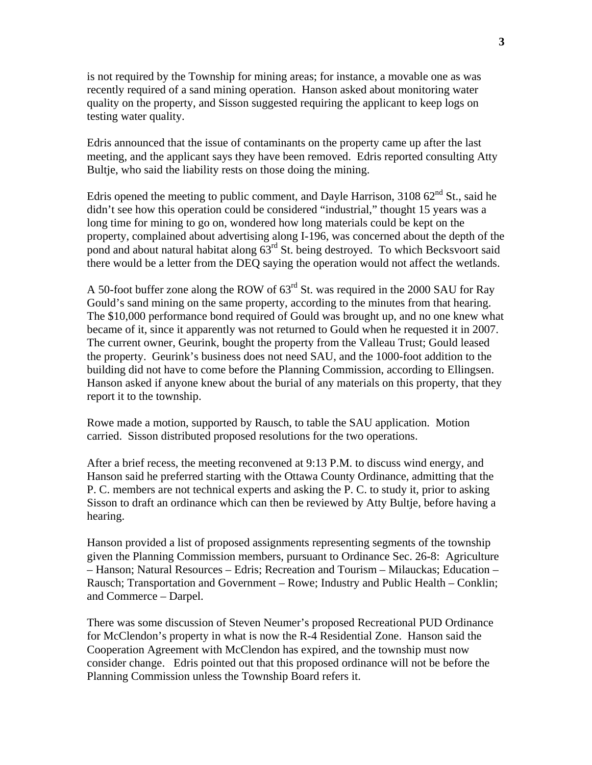is not required by the Township for mining areas; for instance, a movable one as was recently required of a sand mining operation. Hanson asked about monitoring water quality on the property, and Sisson suggested requiring the applicant to keep logs on testing water quality.

Edris announced that the issue of contaminants on the property came up after the last meeting, and the applicant says they have been removed. Edris reported consulting Atty Bultje, who said the liability rests on those doing the mining.

Edris opened the meeting to public comment, and Dayle Harrison,  $310862<sup>nd</sup>$  St., said he didn't see how this operation could be considered "industrial," thought 15 years was a long time for mining to go on, wondered how long materials could be kept on the property, complained about advertising along I-196, was concerned about the depth of the pond and about natural habitat along  $63<sup>rd</sup>$  St. being destroyed. To which Becksvoort said there would be a letter from the DEQ saying the operation would not affect the wetlands.

A 50-foot buffer zone along the ROW of 63rd St. was required in the 2000 SAU for Ray Gould's sand mining on the same property, according to the minutes from that hearing. The \$10,000 performance bond required of Gould was brought up, and no one knew what became of it, since it apparently was not returned to Gould when he requested it in 2007. The current owner, Geurink, bought the property from the Valleau Trust; Gould leased the property. Geurink's business does not need SAU, and the 1000-foot addition to the building did not have to come before the Planning Commission, according to Ellingsen. Hanson asked if anyone knew about the burial of any materials on this property, that they report it to the township.

Rowe made a motion, supported by Rausch, to table the SAU application. Motion carried. Sisson distributed proposed resolutions for the two operations.

After a brief recess, the meeting reconvened at 9:13 P.M. to discuss wind energy, and Hanson said he preferred starting with the Ottawa County Ordinance, admitting that the P. C. members are not technical experts and asking the P. C. to study it, prior to asking Sisson to draft an ordinance which can then be reviewed by Atty Bultje, before having a hearing.

Hanson provided a list of proposed assignments representing segments of the township given the Planning Commission members, pursuant to Ordinance Sec. 26-8: Agriculture – Hanson; Natural Resources – Edris; Recreation and Tourism – Milauckas; Education – Rausch; Transportation and Government – Rowe; Industry and Public Health – Conklin; and Commerce – Darpel.

There was some discussion of Steven Neumer's proposed Recreational PUD Ordinance for McClendon's property in what is now the R-4 Residential Zone. Hanson said the Cooperation Agreement with McClendon has expired, and the township must now consider change. Edris pointed out that this proposed ordinance will not be before the Planning Commission unless the Township Board refers it.